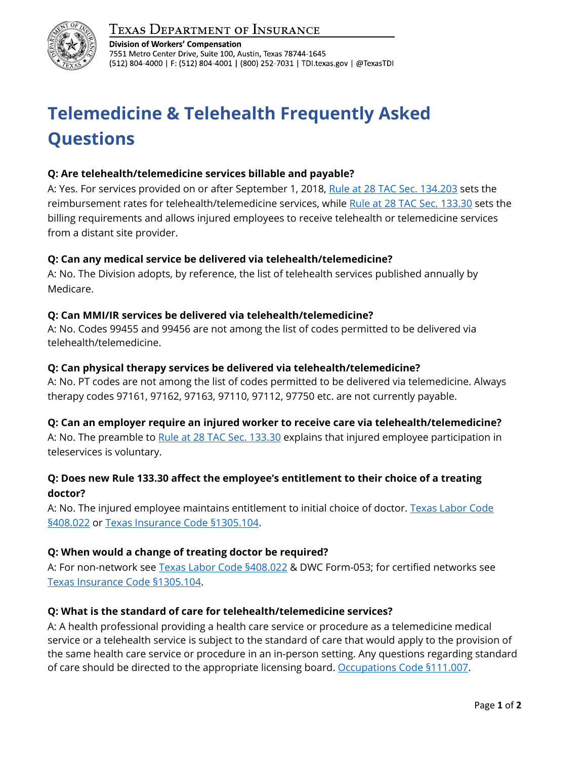

# **TEXAS DEPARTMENT OF INSURANCE**

**Division of Workers' Compensation** 7551 Metro Center Drive, Suite 100, Austin, Texas 78744-1645 (512) 804-4000 | F: (512) 804-4001 | (800) 252-7031 | TDI.texas.gov | @TexasTDI

# **Telemedicine & Telehealth Frequently Asked Questions**

#### **Q: Are telehealth/telemedicine services billable and payable?**

A: Yes. For services provided on or after September 1, 2018, [Rule at 28 TAC Sec. 134.203](http://texreg.sos.state.tx.us/public/readtac$ext.TacPage?sl=R&app=9&p_dir=&p_rloc=&p_tloc=&p_ploc=&pg=1&p_tac=&ti=28&pt=2&ch=134&rl=203) sets the reimbursement rates for telehealth/telemedicine services, while [Rule at 28 TAC Sec. 133.30](http://texreg.sos.state.tx.us/public/readtac$ext.TacPage?sl=R&app=9&p_dir=&p_rloc=&p_tloc=&p_ploc=&pg=1&p_tac=&ti=28&pt=2&ch=133&rl=30) sets the billing requirements and allows injured employees to receive telehealth or telemedicine services from a distant site provider.

#### **Q: Can any medical service be delivered via telehealth/telemedicine?**

A: No. The Division adopts, by reference, the list of telehealth services published annually by Medicare.

#### **Q: Can MMI/IR services be delivered via telehealth/telemedicine?**

A: No. Codes 99455 and 99456 are not among the list of codes permitted to be delivered via telehealth/telemedicine.

#### **Q: Can physical therapy services be delivered via telehealth/telemedicine?**

A: No. PT codes are not among the list of codes permitted to be delivered via telemedicine. Always therapy codes 97161, 97162, 97163, 97110, 97112, 97750 etc. are not currently payable.

# **Q: Can an employer require an injured worker to receive care via telehealth/telemedicine?**

A: No. The preamble to [Rule at 28 TAC Sec. 133.30](http://texreg.sos.state.tx.us/public/readtac$ext.TacPage?sl=R&app=9&p_dir=&p_rloc=&p_tloc=&p_ploc=&pg=1&p_tac=&ti=28&pt=2&ch=133&rl=30) explains that injured employee participation in teleservices is voluntary.

# **Q: Does new Rule 133.30 affect the employee's entitlement to their choice of a treating doctor?**

A: No. The injured employee maintains entitlement to initial choice of doctor. [Texas Labor Code](http://www.statutes.legis.state.tx.us/Docs/LA/htm/LA.408.htm#408.022)  [§408.022](http://www.statutes.legis.state.tx.us/Docs/LA/htm/LA.408.htm#408.022) or [Texas Insurance Code §1305.104.](https://statutes.capitol.texas.gov/Docs/IN/htm/IN.1305.htm#1305.104)

# **Q: When would a change of treating doctor be required?**

A: For non-network see [Texas Labor Code §408.022](http://www.statutes.legis.state.tx.us/Docs/LA/htm/LA.408.htm#408.022) & DWC Form-053; for certified networks see [Texas Insurance Code](https://statutes.capitol.texas.gov/Docs/IN/htm/IN.1305.htm#1305.104) §1305.104.

# **Q: What is the standard of care for telehealth/telemedicine services?**

A: A health professional providing a health care service or procedure as a telemedicine medical service or a telehealth service is subject to the standard of care that would apply to the provision of the same health care service or procedure in an in-person setting. Any questions regarding standard of care should be directed to the appropriate licensing board. [Occupations Code §111.007.](https://statutes.capitol.texas.gov/Docs/OC/htm/OC.111.htm)